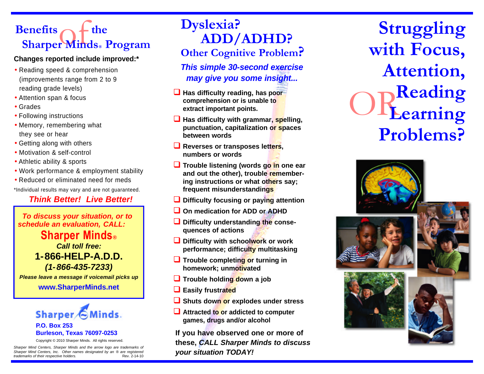# Benefits of the Sharper Minds<sup>®</sup> Program

#### **Changes reported include improved:\***

- Reading speed & comprehension (improvements range from 2 to 9 reading grade levels)
- Attention span & focus
- Grades
- Following instructions
- Memory, remembering what they see or hear
- Getting along with others
- Motivation & self-control
- Athletic ability & sports
- Work performance & employment stability
- Reduced or eliminated need for meds

\*Individual results may vary and are not guaranteed.

# *Think Better! Live Better!*

*To discuss your situation, or to schedule an evaluation, CALL:*

**Sharper Minds®** *Call toll free:* **1-866-HELP-A.D.D.** *(1-866-435-7233)*

*Please leave a message if voicemail picks up*

**www.SharperMinds.net**

# Sharper 6 Minds. **P.O. Box 253 Burleson, Texas 76097-0253**

Copyright © 2010 Sharper Minds. All rights reserved.

*Sharper Mind Centers, Sharper Minds and the arrow logo are trademarks of Sharper Mind Centers, Inc. Other names designated by an* ® *are registered trademarks of their respective holders.* 

# **Dyslexia? ADD/ADHD? Other Cognitive Problem?**

*This simple 30-second exercise may give you some insight...*

- **L** Has difficulty reading, has poor **comprehension or is unable to extract important points.**
- **Has difficulty with grammar, spelling, punctuation, capitalization or spaces between words**
- **L** Reverses or transposes letters, **numbers or words**
- **Q** Trouble listening (words go in one ear **and out the other), trouble remembering instructions or what others say; frequent misunderstandings**
- **<u>L</u>** Difficulty focusing or paying attention
- **Q On medication for ADD or ADHD**
- $\Box$  Difficulty understanding the conse**quences of actions**
- **Q** Difficulty with schoolwork or work **performance; difficulty multitasking**
- **Q** Trouble completing or turning in **homework; unmotivated**
- **Trouble holding down a job**
- **Q** Easily frustrated
- **Q** Shuts down or explodes under stress
- **Q** Attracted to or addicted to computer **games, drugs and/or alcohol**

**If you have observed one or more of these,** *CALL Sharper Minds to discuss your situation TODAY!*

OR **Struggling with Focus, Attention, Reading Learning Problems?**